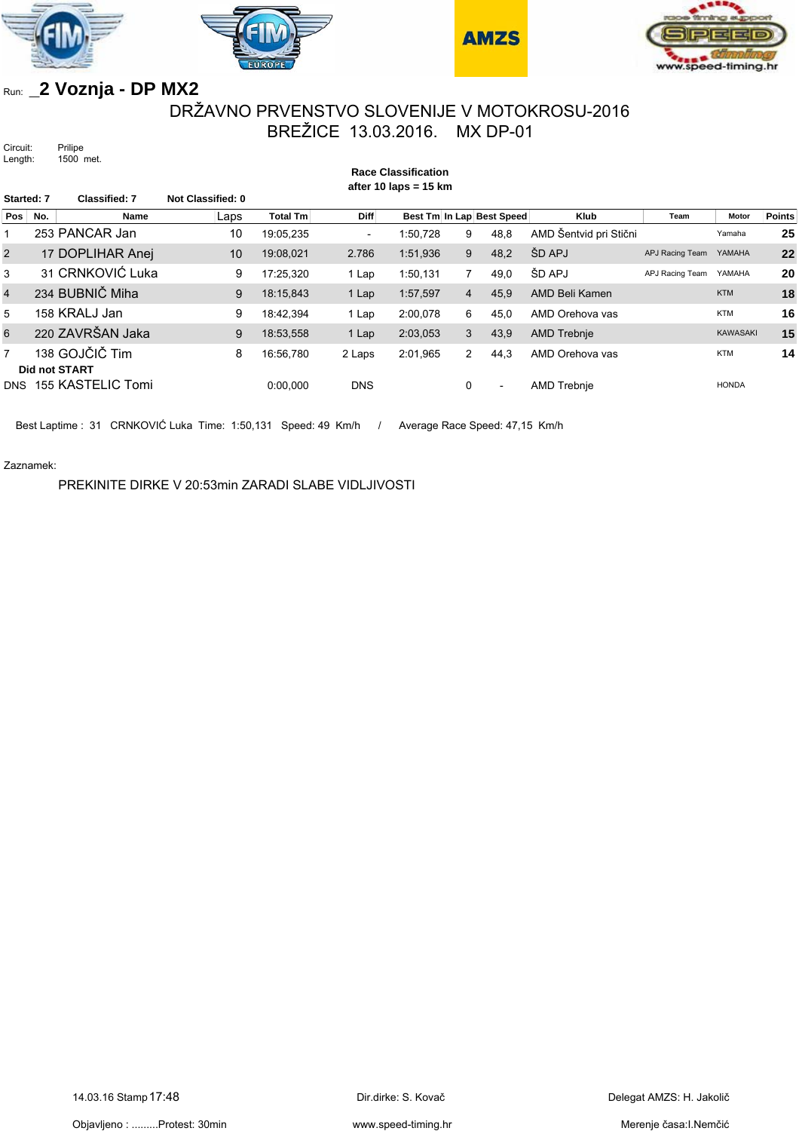







# Run: **\_2 Voznja - DP MX2**

### DRŽAVNO PRVENSTVO SLOVENIJE V MOTOKROSU-2016 BREŽICE 13.03.2016. MX DP-01

**Race Classification**

Circuit: Prilipe<br>Length: 1500 1500 met.

| after 10 laps = $15 \text{ km}$ |     |                                 |                          |                 |                          |          |                |                           |                        |                        |                 |               |  |
|---------------------------------|-----|---------------------------------|--------------------------|-----------------|--------------------------|----------|----------------|---------------------------|------------------------|------------------------|-----------------|---------------|--|
| Started: 7                      |     | <b>Classified: 7</b>            | <b>Not Classified: 0</b> |                 |                          |          |                |                           |                        |                        |                 |               |  |
| Pos                             | No. | Name                            | Laps                     | <b>Total Tm</b> | Diff                     |          |                | Best Tm In Lap Best Speed | Klub                   | Team                   | Motor           | <b>Points</b> |  |
|                                 |     | 253 PANCAR Jan                  | 10                       | 19:05,235       | $\overline{\phantom{a}}$ | 1:50.728 | 9              | 48,8                      | AMD Šentvid pri Stični |                        | Yamaha          | 25            |  |
| 2                               |     | 17 DOPLIHAR Anej                | 10                       | 19:08,021       | 2.786                    | 1:51,936 | 9              | 48,2                      | ŠD APJ                 | APJ Racing Team YAMAHA |                 | 22            |  |
| 3                               |     | 31 CRNKOVIĆ Luka                | 9                        | 17:25.320       | 1 Lap                    | 1:50,131 | 7              | 49,0                      | ŠD APJ                 | APJ Racing Team        | YAMAHA          | 20            |  |
| $\overline{4}$                  |     | 234 BUBNIČ Miha                 | 9                        | 18:15,843       | 1 Lap                    | 1:57,597 | $\overline{4}$ | 45,9                      | AMD Beli Kamen         |                        | <b>KTM</b>      | 18            |  |
| 5                               |     | 158 KRALJ Jan                   | 9                        | 18:42.394       | 1 Lap                    | 2:00,078 | 6              | 45,0                      | AMD Orehova vas        |                        | <b>KTM</b>      | 16            |  |
| 6                               |     | 220 ZAVRŠAN Jaka                | 9                        | 18:53,558       | 1 Lap                    | 2:03,053 | 3              | 43,9                      | <b>AMD Trebnje</b>     |                        | <b>KAWASAKI</b> | 15            |  |
| $\overline{7}$                  |     | 138 GOJČIČ Tim<br>Did not START | 8                        | 16:56.780       | 2 Laps                   | 2:01,965 | $\overline{2}$ | 44,3                      | AMD Orehova vas        |                        | <b>KTM</b>      | 14            |  |
| <b>DNS</b>                      |     | 155 KASTELIC Tomi               |                          | 0:00.000        | <b>DNS</b>               |          | 0              | $\overline{\phantom{a}}$  | AMD Trebnie            |                        | <b>HONDA</b>    |               |  |

Best Laptime : 31 CRNKOVIĆ Luka Time: 1:50,131 Speed: 49 Km/h / Average Race Speed: 47,15 Km/h

Zaznamek:

PREKINITE DIRKE V 20:53min ZARADI SLABE VIDLJIVOSTI

www.speed-timing.hr